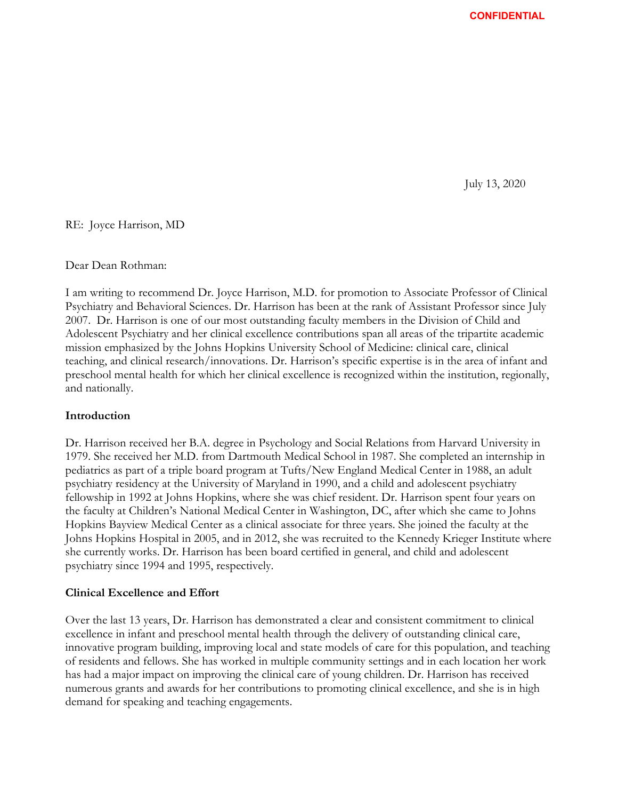July 13, 2020

RE: Joyce Harrison, MD

## Dear Dean Rothman:

I am writing to recommend Dr. Joyce Harrison, M.D. for promotion to Associate Professor of Clinical Psychiatry and Behavioral Sciences. Dr. Harrison has been at the rank of Assistant Professor since July 2007. Dr. Harrison is one of our most outstanding faculty members in the Division of Child and Adolescent Psychiatry and her clinical excellence contributions span all areas of the tripartite academic mission emphasized by the Johns Hopkins University School of Medicine: clinical care, clinical teaching, and clinical research/innovations. Dr. Harrison's specific expertise is in the area of infant and preschool mental health for which her clinical excellence is recognized within the institution, regionally, and nationally.

### **Introduction**

Dr. Harrison received her B.A. degree in Psychology and Social Relations from Harvard University in 1979. She received her M.D. from Dartmouth Medical School in 1987. She completed an internship in pediatrics as part of a triple board program at Tufts/New England Medical Center in 1988, an adult psychiatry residency at the University of Maryland in 1990, and a child and adolescent psychiatry fellowship in 1992 at Johns Hopkins, where she was chief resident. Dr. Harrison spent four years on the faculty at Children's National Medical Center in Washington, DC, after which she came to Johns Hopkins Bayview Medical Center as a clinical associate for three years. She joined the faculty at the Johns Hopkins Hospital in 2005, and in 2012, she was recruited to the Kennedy Krieger Institute where she currently works. Dr. Harrison has been board certified in general, and child and adolescent psychiatry since 1994 and 1995, respectively.

#### **Clinical Excellence and Effort**

Over the last 13 years, Dr. Harrison has demonstrated a clear and consistent commitment to clinical excellence in infant and preschool mental health through the delivery of outstanding clinical care, innovative program building, improving local and state models of care for this population, and teaching of residents and fellows. She has worked in multiple community settings and in each location her work has had a major impact on improving the clinical care of young children. Dr. Harrison has received numerous grants and awards for her contributions to promoting clinical excellence, and she is in high demand for speaking and teaching engagements.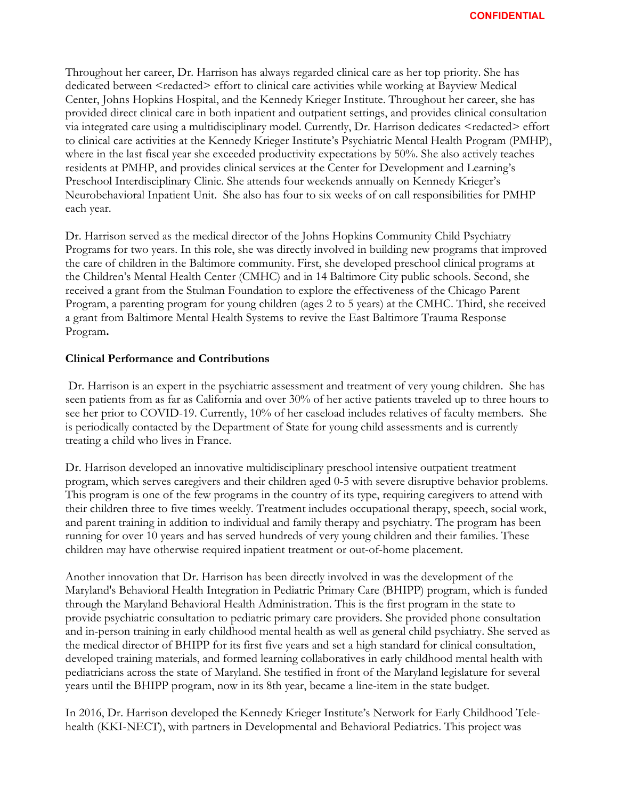Throughout her career, Dr. Harrison has always regarded clinical care as her top priority. She has dedicated between <redacted> effort to clinical care activities while working at Bayview Medical Center, Johns Hopkins Hospital, and the Kennedy Krieger Institute. Throughout her career, she has provided direct clinical care in both inpatient and outpatient settings, and provides clinical consultation via integrated care using a multidisciplinary model. Currently, Dr. Harrison dedicates <redacted> effort to clinical care activities at the Kennedy Krieger Institute's Psychiatric Mental Health Program (PMHP), where in the last fiscal year she exceeded productivity expectations by 50%. She also actively teaches residents at PMHP, and provides clinical services at the Center for Development and Learning's Preschool Interdisciplinary Clinic. She attends four weekends annually on Kennedy Krieger's Neurobehavioral Inpatient Unit. She also has four to six weeks of on call responsibilities for PMHP each year.

Dr. Harrison served as the medical director of the Johns Hopkins Community Child Psychiatry Programs for two years. In this role, she was directly involved in building new programs that improved the care of children in the Baltimore community. First, she developed preschool clinical programs at the Children's Mental Health Center (CMHC) and in 14 Baltimore City public schools. Second, she received a grant from the Stulman Foundation to explore the effectiveness of the Chicago Parent Program, a parenting program for young children (ages 2 to 5 years) at the CMHC. Third, she received a grant from Baltimore Mental Health Systems to revive the East Baltimore Trauma Response Program**.**

# **Clinical Performance and Contributions**

 Dr. Harrison is an expert in the psychiatric assessment and treatment of very young children. She has seen patients from as far as California and over 30% of her active patients traveled up to three hours to see her prior to COVID-19. Currently, 10% of her caseload includes relatives of faculty members. She is periodically contacted by the Department of State for young child assessments and is currently treating a child who lives in France.

Dr. Harrison developed an innovative multidisciplinary preschool intensive outpatient treatment program, which serves caregivers and their children aged 0-5 with severe disruptive behavior problems. This program is one of the few programs in the country of its type, requiring caregivers to attend with their children three to five times weekly. Treatment includes occupational therapy, speech, social work, and parent training in addition to individual and family therapy and psychiatry. The program has been running for over 10 years and has served hundreds of very young children and their families. These children may have otherwise required inpatient treatment or out-of-home placement.

Another innovation that Dr. Harrison has been directly involved in was the development of the Maryland's Behavioral Health Integration in Pediatric Primary Care (BHIPP) program, which is funded through the Maryland Behavioral Health Administration. This is the first program in the state to provide psychiatric consultation to pediatric primary care providers. She provided phone consultation and in-person training in early childhood mental health as well as general child psychiatry. She served as the medical director of BHIPP for its first five years and set a high standard for clinical consultation, developed training materials, and formed learning collaboratives in early childhood mental health with pediatricians across the state of Maryland. She testified in front of the Maryland legislature for several years until the BHIPP program, now in its 8th year, became a line-item in the state budget.

In 2016, Dr. Harrison developed the Kennedy Krieger Institute's Network for Early Childhood Telehealth (KKI-NECT), with partners in Developmental and Behavioral Pediatrics. This project was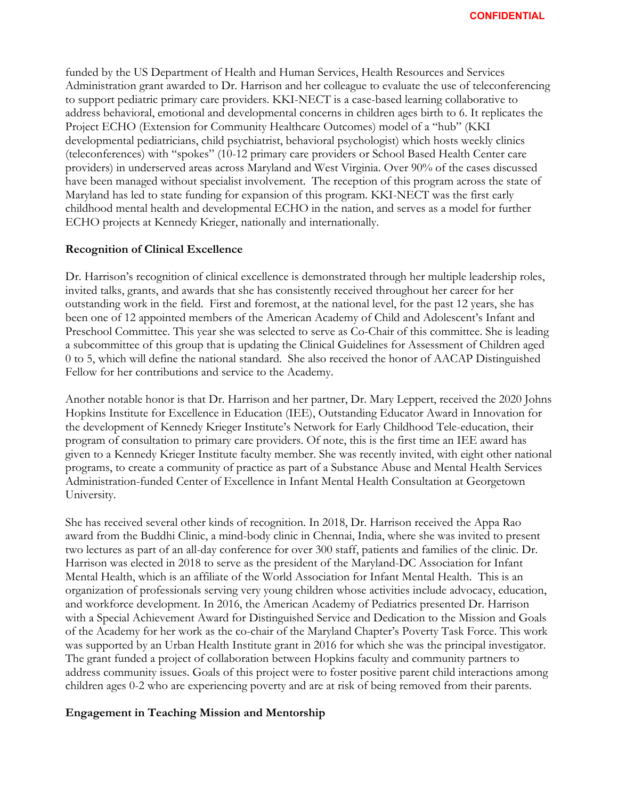funded by the US Department of Health and Human Services, Health Resources and Services Administration grant awarded to Dr. Harrison and her colleague to evaluate the use of teleconferencing to support pediatric primary care providers. KKI-NECT is a case-based learning collaborative to address behavioral, emotional and developmental concerns in children ages birth to 6. It replicates the Project ECHO (Extension for Community Healthcare Outcomes) model of a "hub" (KKI developmental pediatricians, child psychiatrist, behavioral psychologist) which hosts weekly clinics (teleconferences) with "spokes" (10-12 primary care providers or School Based Health Center care providers) in underserved areas across Maryland and West Virginia. Over 90% of the cases discussed have been managed without specialist involvement. The reception of this program across the state of Maryland has led to state funding for expansion of this program. KKI-NECT was the first early childhood mental health and developmental ECHO in the nation, and serves as a model for further ECHO projects at Kennedy Krieger, nationally and internationally.

## **Recognition of Clinical Excellence**

Dr. Harrison's recognition of clinical excellence is demonstrated through her multiple leadership roles, invited talks, grants, and awards that she has consistently received throughout her career for her outstanding work in the field. First and foremost, at the national level, for the past 12 years, she has been one of 12 appointed members of the American Academy of Child and Adolescent's Infant and Preschool Committee. This year she was selected to serve as Co-Chair of this committee. She is leading a subcommittee of this group that is updating the Clinical Guidelines for Assessment of Children aged 0 to 5, which will define the national standard. She also received the honor of AACAP Distinguished Fellow for her contributions and service to the Academy.

Another notable honor is that Dr. Harrison and her partner, Dr. Mary Leppert, received the 2020 Johns Hopkins Institute for Excellence in Education (IEE), Outstanding Educator Award in Innovation for the development of Kennedy Krieger Institute's Network for Early Childhood Tele-education, their program of consultation to primary care providers. Of note, this is the first time an IEE award has given to a Kennedy Krieger Institute faculty member. She was recently invited, with eight other national programs, to create a community of practice as part of a Substance Abuse and Mental Health Services Administration-funded Center of Excellence in Infant Mental Health Consultation at Georgetown University.

She has received several other kinds of recognition. In 2018, Dr. Harrison received the Appa Rao award from the Buddhi Clinic, a mind-body clinic in Chennai, India, where she was invited to present two lectures as part of an all-day conference for over 300 staff, patients and families of the clinic. Dr. Harrison was elected in 2018 to serve as the president of the Maryland-DC Association for Infant Mental Health, which is an affiliate of the World Association for Infant Mental Health. This is an organization of professionals serving very young children whose activities include advocacy, education, and workforce development. In 2016, the American Academy of Pediatrics presented Dr. Harrison with a Special Achievement Award for Distinguished Service and Dedication to the Mission and Goals of the Academy for her work as the co-chair of the Maryland Chapter's Poverty Task Force. This work was supported by an Urban Health Institute grant in 2016 for which she was the principal investigator. The grant funded a project of collaboration between Hopkins faculty and community partners to address community issues. Goals of this project were to foster positive parent child interactions among children ages 0-2 who are experiencing poverty and are at risk of being removed from their parents.

### **Engagement in Teaching Mission and Mentorship**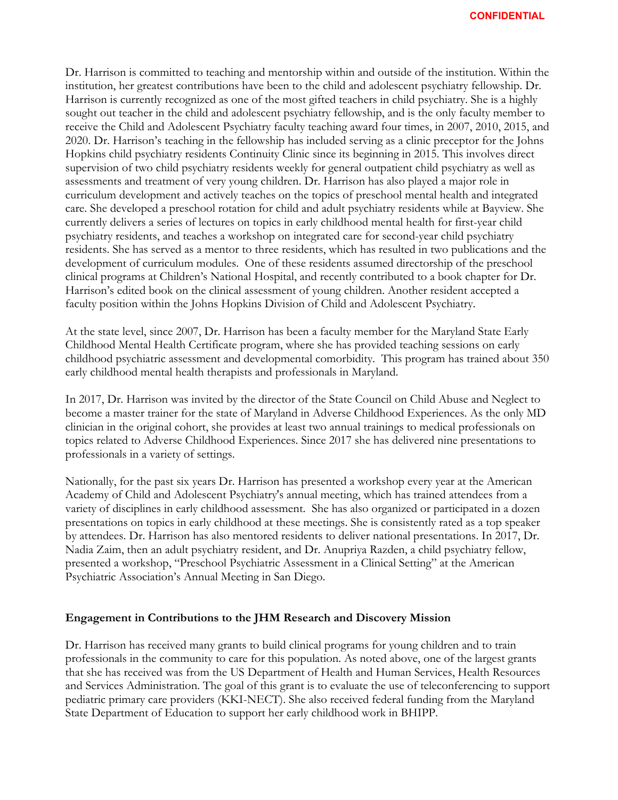Dr. Harrison is committed to teaching and mentorship within and outside of the institution. Within the institution, her greatest contributions have been to the child and adolescent psychiatry fellowship. Dr. Harrison is currently recognized as one of the most gifted teachers in child psychiatry. She is a highly sought out teacher in the child and adolescent psychiatry fellowship, and is the only faculty member to receive the Child and Adolescent Psychiatry faculty teaching award four times, in 2007, 2010, 2015, and 2020. Dr. Harrison's teaching in the fellowship has included serving as a clinic preceptor for the Johns Hopkins child psychiatry residents Continuity Clinic since its beginning in 2015. This involves direct supervision of two child psychiatry residents weekly for general outpatient child psychiatry as well as assessments and treatment of very young children. Dr. Harrison has also played a major role in curriculum development and actively teaches on the topics of preschool mental health and integrated care. She developed a preschool rotation for child and adult psychiatry residents while at Bayview. She currently delivers a series of lectures on topics in early childhood mental health for first-year child psychiatry residents, and teaches a workshop on integrated care for second-year child psychiatry residents. She has served as a mentor to three residents, which has resulted in two publications and the development of curriculum modules. One of these residents assumed directorship of the preschool clinical programs at Children's National Hospital, and recently contributed to a book chapter for Dr. Harrison's edited book on the clinical assessment of young children. Another resident accepted a faculty position within the Johns Hopkins Division of Child and Adolescent Psychiatry.

At the state level, since 2007, Dr. Harrison has been a faculty member for the Maryland State Early Childhood Mental Health Certificate program, where she has provided teaching sessions on early childhood psychiatric assessment and developmental comorbidity. This program has trained about 350 early childhood mental health therapists and professionals in Maryland.

In 2017, Dr. Harrison was invited by the director of the State Council on Child Abuse and Neglect to become a master trainer for the state of Maryland in Adverse Childhood Experiences. As the only MD clinician in the original cohort, she provides at least two annual trainings to medical professionals on topics related to Adverse Childhood Experiences. Since 2017 she has delivered nine presentations to professionals in a variety of settings.

Nationally, for the past six years Dr. Harrison has presented a workshop every year at the American Academy of Child and Adolescent Psychiatry's annual meeting, which has trained attendees from a variety of disciplines in early childhood assessment. She has also organized or participated in a dozen presentations on topics in early childhood at these meetings. She is consistently rated as a top speaker by attendees. Dr. Harrison has also mentored residents to deliver national presentations. In 2017, Dr. Nadia Zaim, then an adult psychiatry resident, and Dr. Anupriya Razden, a child psychiatry fellow, presented a workshop, "Preschool Psychiatric Assessment in a Clinical Setting" at the American Psychiatric Association's Annual Meeting in San Diego.

### **Engagement in Contributions to the JHM Research and Discovery Mission**

Dr. Harrison has received many grants to build clinical programs for young children and to train professionals in the community to care for this population. As noted above, one of the largest grants that she has received was from the US Department of Health and Human Services, Health Resources and Services Administration. The goal of this grant is to evaluate the use of teleconferencing to support pediatric primary care providers (KKI-NECT). She also received federal funding from the Maryland State Department of Education to support her early childhood work in BHIPP.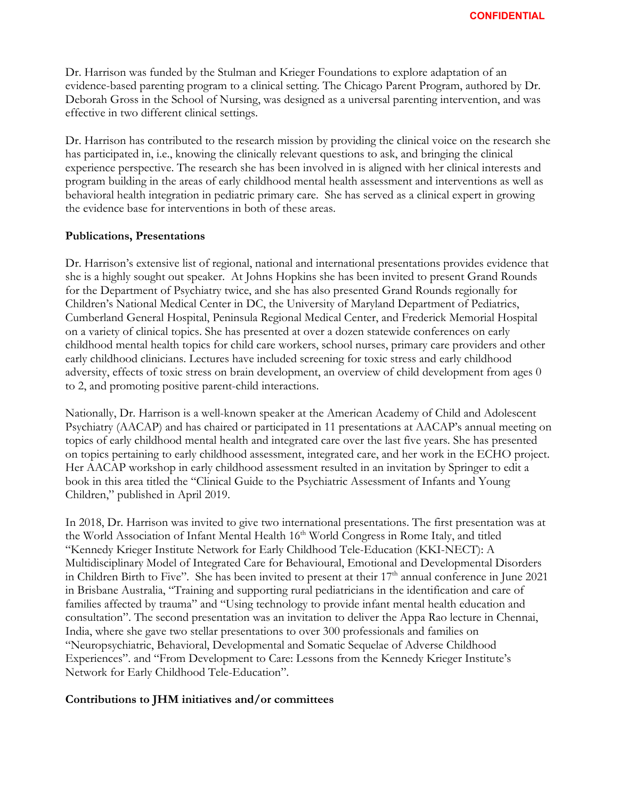Dr. Harrison was funded by the Stulman and Krieger Foundations to explore adaptation of an evidence-based parenting program to a clinical setting. The Chicago Parent Program, authored by Dr. Deborah Gross in the School of Nursing, was designed as a universal parenting intervention, and was effective in two different clinical settings.

Dr. Harrison has contributed to the research mission by providing the clinical voice on the research she has participated in, i.e., knowing the clinically relevant questions to ask, and bringing the clinical experience perspective. The research she has been involved in is aligned with her clinical interests and program building in the areas of early childhood mental health assessment and interventions as well as behavioral health integration in pediatric primary care. She has served as a clinical expert in growing the evidence base for interventions in both of these areas.

## **Publications, Presentations**

Dr. Harrison's extensive list of regional, national and international presentations provides evidence that she is a highly sought out speaker. At Johns Hopkins she has been invited to present Grand Rounds for the Department of Psychiatry twice, and she has also presented Grand Rounds regionally for Children's National Medical Center in DC, the University of Maryland Department of Pediatrics, Cumberland General Hospital, Peninsula Regional Medical Center, and Frederick Memorial Hospital on a variety of clinical topics. She has presented at over a dozen statewide conferences on early childhood mental health topics for child care workers, school nurses, primary care providers and other early childhood clinicians. Lectures have included screening for toxic stress and early childhood adversity, effects of toxic stress on brain development, an overview of child development from ages 0 to 2, and promoting positive parent-child interactions.

Nationally, Dr. Harrison is a well-known speaker at the American Academy of Child and Adolescent Psychiatry (AACAP) and has chaired or participated in 11 presentations at AACAP's annual meeting on topics of early childhood mental health and integrated care over the last five years. She has presented on topics pertaining to early childhood assessment, integrated care, and her work in the ECHO project. Her AACAP workshop in early childhood assessment resulted in an invitation by Springer to edit a book in this area titled the "Clinical Guide to the Psychiatric Assessment of Infants and Young Children," published in April 2019.

In 2018, Dr. Harrison was invited to give two international presentations. The first presentation was at the World Association of Infant Mental Health 16<sup>th</sup> World Congress in Rome Italy, and titled "Kennedy Krieger Institute Network for Early Childhood Tele-Education (KKI-NECT): A Multidisciplinary Model of Integrated Care for Behavioural, Emotional and Developmental Disorders in Children Birth to Five". She has been invited to present at their  $17<sup>th</sup>$  annual conference in June 2021 in Brisbane Australia, "Training and supporting rural pediatricians in the identification and care of families affected by trauma" and "Using technology to provide infant mental health education and consultation". The second presentation was an invitation to deliver the Appa Rao lecture in Chennai, India, where she gave two stellar presentations to over 300 professionals and families on "Neuropsychiatric, Behavioral, Developmental and Somatic Sequelae of Adverse Childhood Experiences". and "From Development to Care: Lessons from the Kennedy Krieger Institute's Network for Early Childhood Tele-Education".

# **Contributions to JHM initiatives and/or committees**